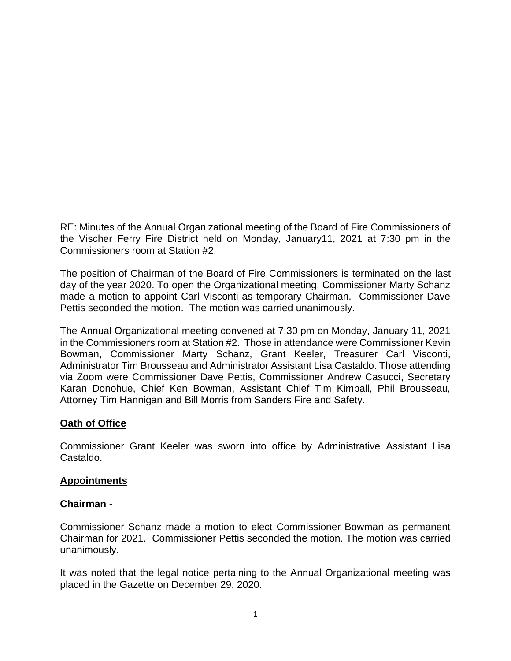RE: Minutes of the Annual Organizational meeting of the Board of Fire Commissioners of the Vischer Ferry Fire District held on Monday, January11, 2021 at 7:30 pm in the Commissioners room at Station #2.

The position of Chairman of the Board of Fire Commissioners is terminated on the last day of the year 2020. To open the Organizational meeting, Commissioner Marty Schanz made a motion to appoint Carl Visconti as temporary Chairman. Commissioner Dave Pettis seconded the motion. The motion was carried unanimously.

The Annual Organizational meeting convened at 7:30 pm on Monday, January 11, 2021 in the Commissioners room at Station #2. Those in attendance were Commissioner Kevin Bowman, Commissioner Marty Schanz, Grant Keeler, Treasurer Carl Visconti, Administrator Tim Brousseau and Administrator Assistant Lisa Castaldo. Those attending via Zoom were Commissioner Dave Pettis, Commissioner Andrew Casucci, Secretary Karan Donohue, Chief Ken Bowman, Assistant Chief Tim Kimball, Phil Brousseau, Attorney Tim Hannigan and Bill Morris from Sanders Fire and Safety.

# **Oath of Office**

Commissioner Grant Keeler was sworn into office by Administrative Assistant Lisa Castaldo.

#### **Appointments**

#### **Chairman** -

Commissioner Schanz made a motion to elect Commissioner Bowman as permanent Chairman for 2021. Commissioner Pettis seconded the motion. The motion was carried unanimously.

It was noted that the legal notice pertaining to the Annual Organizational meeting was placed in the Gazette on December 29, 2020.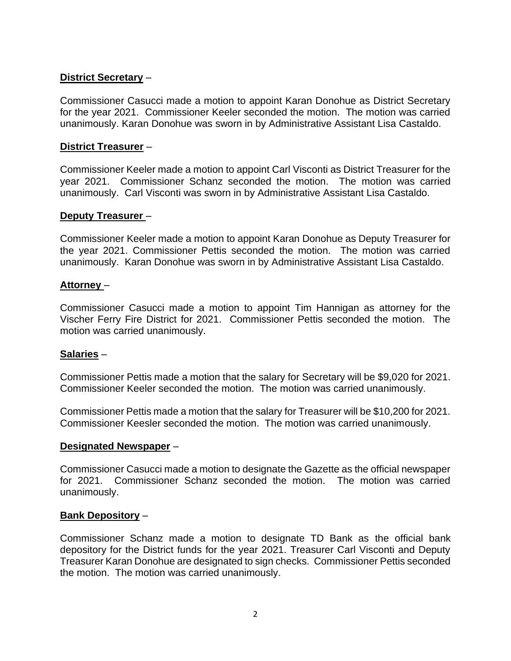### **District Secretary** –

Commissioner Casucci made a motion to appoint Karan Donohue as District Secretary for the year 2021. Commissioner Keeler seconded the motion. The motion was carried unanimously. Karan Donohue was sworn in by Administrative Assistant Lisa Castaldo.

#### **District Treasurer** –

Commissioner Keeler made a motion to appoint Carl Visconti as District Treasurer for the year 2021. Commissioner Schanz seconded the motion. The motion was carried unanimously. Carl Visconti was sworn in by Administrative Assistant Lisa Castaldo.

#### **Deputy Treasurer** –

Commissioner Keeler made a motion to appoint Karan Donohue as Deputy Treasurer for the year 2021. Commissioner Pettis seconded the motion. The motion was carried unanimously. Karan Donohue was sworn in by Administrative Assistant Lisa Castaldo.

#### **Attorney** –

Commissioner Casucci made a motion to appoint Tim Hannigan as attorney for the Vischer Ferry Fire District for 2021. Commissioner Pettis seconded the motion. The motion was carried unanimously.

#### **Salaries** –

Commissioner Pettis made a motion that the salary for Secretary will be \$9,020 for 2021. Commissioner Keeler seconded the motion. The motion was carried unanimously.

Commissioner Pettis made a motion that the salary for Treasurer will be \$10,200 for 2021. Commissioner Keesler seconded the motion. The motion was carried unanimously.

#### **Designated Newspaper** –

Commissioner Casucci made a motion to designate the Gazette as the official newspaper for 2021. Commissioner Schanz seconded the motion. The motion was carried unanimously.

#### **Bank Depository** –

Commissioner Schanz made a motion to designate TD Bank as the official bank depository for the District funds for the year 2021. Treasurer Carl Visconti and Deputy Treasurer Karan Donohue are designated to sign checks. Commissioner Pettis seconded the motion. The motion was carried unanimously.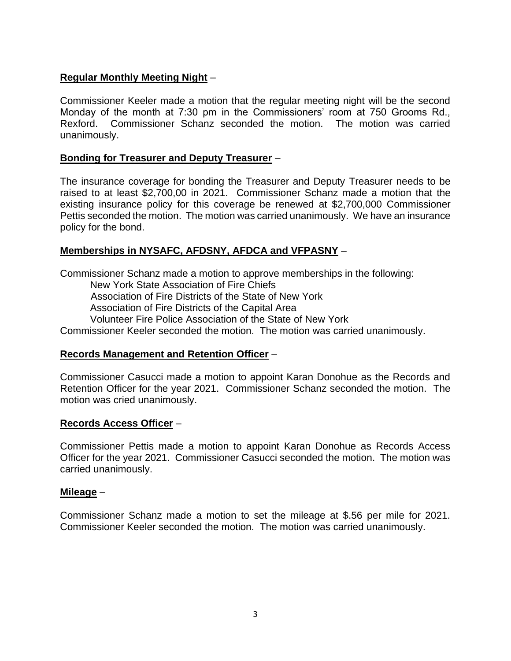### **Regular Monthly Meeting Night** –

Commissioner Keeler made a motion that the regular meeting night will be the second Monday of the month at 7:30 pm in the Commissioners' room at 750 Grooms Rd., Rexford. Commissioner Schanz seconded the motion. The motion was carried unanimously.

### **Bonding for Treasurer and Deputy Treasurer** –

The insurance coverage for bonding the Treasurer and Deputy Treasurer needs to be raised to at least \$2,700,00 in 2021. Commissioner Schanz made a motion that the existing insurance policy for this coverage be renewed at \$2,700,000 Commissioner Pettis seconded the motion. The motion was carried unanimously. We have an insurance policy for the bond.

### **Memberships in NYSAFC, AFDSNY, AFDCA and VFPASNY** –

Commissioner Schanz made a motion to approve memberships in the following:

New York State Association of Fire Chiefs

Association of Fire Districts of the State of New York

Association of Fire Districts of the Capital Area

Volunteer Fire Police Association of the State of New York

Commissioner Keeler seconded the motion. The motion was carried unanimously.

#### **Records Management and Retention Officer** –

Commissioner Casucci made a motion to appoint Karan Donohue as the Records and Retention Officer for the year 2021. Commissioner Schanz seconded the motion. The motion was cried unanimously.

#### **Records Access Officer** –

Commissioner Pettis made a motion to appoint Karan Donohue as Records Access Officer for the year 2021. Commissioner Casucci seconded the motion. The motion was carried unanimously.

#### **Mileage** –

Commissioner Schanz made a motion to set the mileage at \$.56 per mile for 2021. Commissioner Keeler seconded the motion. The motion was carried unanimously.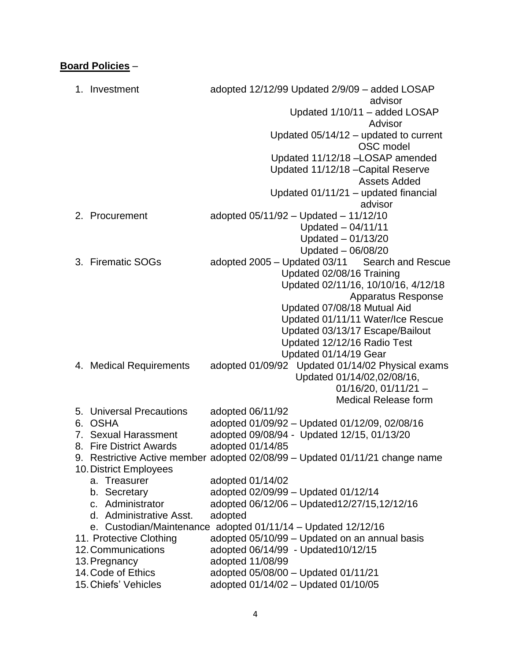# **Board Policies** –

|    | 1. Investment                | adopted 12/12/99 Updated 2/9/09 - added LOSAP                                |
|----|------------------------------|------------------------------------------------------------------------------|
|    |                              | advisor                                                                      |
|    |                              | Updated 1/10/11 - added LOSAP                                                |
|    |                              | Advisor                                                                      |
|    |                              | Updated $05/14/12$ – updated to current                                      |
|    |                              | OSC model                                                                    |
|    |                              | Updated 11/12/18 - LOSAP amended                                             |
|    |                              | Updated 11/12/18 - Capital Reserve                                           |
|    |                              | <b>Assets Added</b>                                                          |
|    |                              | Updated 01/11/21 - updated financial                                         |
|    |                              | advisor                                                                      |
|    | 2. Procurement               | adopted $05/11/92 -$ Updated $- 11/12/10$                                    |
|    |                              | Updated - 04/11/11                                                           |
|    |                              | Updated $-01/13/20$                                                          |
|    |                              | Updated - 06/08/20                                                           |
|    | 3. Firematic SOGs            | adopted 2005 – Updated 03/11<br><b>Search and Rescue</b>                     |
|    |                              | Updated 02/08/16 Training                                                    |
|    |                              | Updated 02/11/16, 10/10/16, 4/12/18                                          |
|    |                              | <b>Apparatus Response</b>                                                    |
|    |                              | Updated 07/08/18 Mutual Aid                                                  |
|    |                              | Updated 01/11/11 Water/Ice Rescue                                            |
|    |                              | Updated 03/13/17 Escape/Bailout                                              |
|    |                              | Updated 12/12/16 Radio Test                                                  |
|    |                              | Updated 01/14/19 Gear                                                        |
|    | 4. Medical Requirements      | adopted 01/09/92 Updated 01/14/02 Physical exams                             |
|    |                              | Updated 01/14/02,02/08/16,                                                   |
|    |                              | $01/16/20$ , $01/11/21 -$                                                    |
|    |                              | <b>Medical Release form</b>                                                  |
| 5. | <b>Universal Precautions</b> | adopted 06/11/92                                                             |
| 6. | <b>OSHA</b>                  | adopted 01/09/92 - Updated 01/12/09, 02/08/16                                |
| 7. | <b>Sexual Harassment</b>     | adopted 09/08/94 - Updated 12/15, 01/13/20                                   |
| 8. | <b>Fire District Awards</b>  | adopted 01/14/85                                                             |
|    |                              | 9. Restrictive Active member adopted 02/08/99 - Updated 01/11/21 change name |
|    | 10. District Employees       |                                                                              |
|    | a. Treasurer                 | adopted 01/14/02                                                             |
|    | b. Secretary                 | adopted 02/09/99 - Updated 01/12/14                                          |
|    | c. Administrator             | adopted 06/12/06 - Updated 12/27/15, 12/12/16                                |
|    | d. Administrative Asst.      | adopted                                                                      |
|    |                              | e. Custodian/Maintenance adopted 01/11/14 - Updated 12/12/16                 |
|    | 11. Protective Clothing      | adopted 05/10/99 - Updated on an annual basis                                |
|    | 12. Communications           | adopted 06/14/99 - Updated 10/12/15                                          |
|    | 13. Pregnancy                | adopted 11/08/99                                                             |
|    | 14. Code of Ethics           | adopted 05/08/00 - Updated 01/11/21                                          |
|    | 15. Chiefs' Vehicles         | adopted 01/14/02 - Updated 01/10/05                                          |
|    |                              |                                                                              |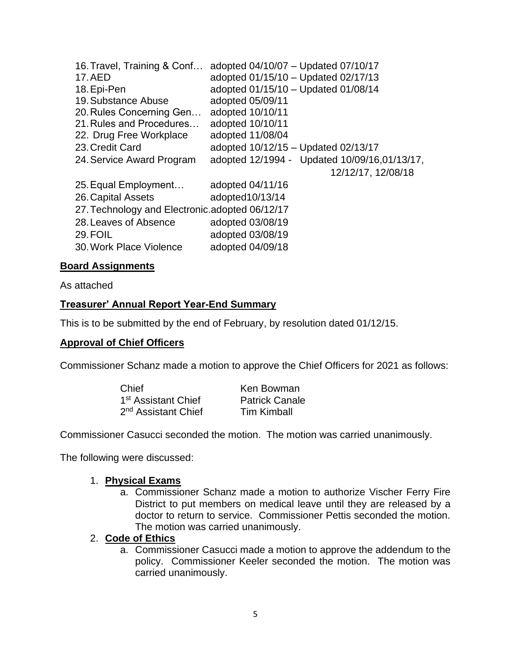| adopted 04/10/07 - Updated 07/10/17             |  |  |  |  |
|-------------------------------------------------|--|--|--|--|
| adopted 01/15/10 - Updated 02/17/13             |  |  |  |  |
| adopted 01/15/10 - Updated 01/08/14             |  |  |  |  |
| adopted 05/09/11                                |  |  |  |  |
| adopted 10/10/11                                |  |  |  |  |
| adopted 10/10/11                                |  |  |  |  |
| adopted 11/08/04                                |  |  |  |  |
| adopted 10/12/15 - Updated 02/13/17             |  |  |  |  |
| adopted 12/1994 - Updated 10/09/16,01/13/17,    |  |  |  |  |
| 12/12/17, 12/08/18                              |  |  |  |  |
| adopted 04/11/16                                |  |  |  |  |
| adopted10/13/14                                 |  |  |  |  |
| 27. Technology and Electronic. adopted 06/12/17 |  |  |  |  |
| adopted 03/08/19                                |  |  |  |  |
| adopted 03/08/19                                |  |  |  |  |
| adopted 04/09/18                                |  |  |  |  |
|                                                 |  |  |  |  |

#### **Board Assignments**

As attached

#### **Treasurer' Annual Report Year-End Summary**

This is to be submitted by the end of February, by resolution dated 01/12/15.

#### **Approval of Chief Officers**

Commissioner Schanz made a motion to approve the Chief Officers for 2021 as follows:

| Chief                           | Ken Bowman            |
|---------------------------------|-----------------------|
| 1 <sup>st</sup> Assistant Chief | <b>Patrick Canale</b> |
| 2 <sup>nd</sup> Assistant Chief | <b>Tim Kimball</b>    |

Commissioner Casucci seconded the motion. The motion was carried unanimously.

The following were discussed:

#### 1. **Physical Exams**

a. Commissioner Schanz made a motion to authorize Vischer Ferry Fire District to put members on medical leave until they are released by a doctor to return to service. Commissioner Pettis seconded the motion. The motion was carried unanimously.

#### 2. **Code of Ethics**

a. Commissioner Casucci made a motion to approve the addendum to the policy. Commissioner Keeler seconded the motion. The motion was carried unanimously.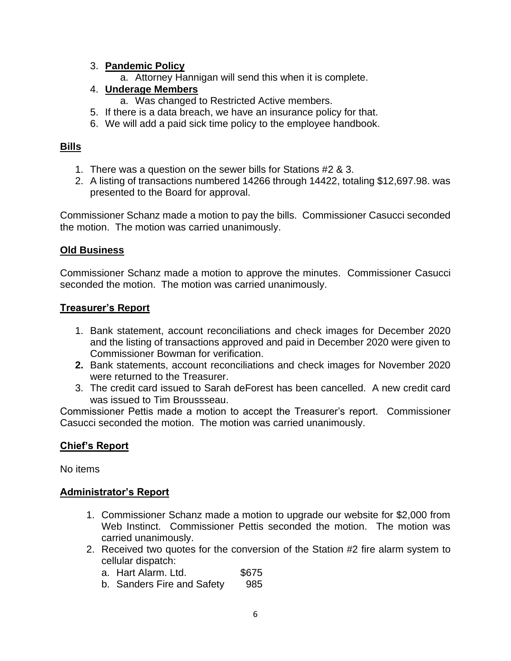### 3. **Pandemic Policy**

a. Attorney Hannigan will send this when it is complete.

# 4. **Underage Members**

- a. Was changed to Restricted Active members.
- 5. If there is a data breach, we have an insurance policy for that.
- 6. We will add a paid sick time policy to the employee handbook.

### **Bills**

- 1. There was a question on the sewer bills for Stations #2 & 3.
- 2. A listing of transactions numbered 14266 through 14422, totaling \$12,697.98. was presented to the Board for approval.

Commissioner Schanz made a motion to pay the bills. Commissioner Casucci seconded the motion. The motion was carried unanimously.

### **Old Business**

Commissioner Schanz made a motion to approve the minutes. Commissioner Casucci seconded the motion. The motion was carried unanimously.

#### **Treasurer's Report**

- 1. Bank statement, account reconciliations and check images for December 2020 and the listing of transactions approved and paid in December 2020 were given to Commissioner Bowman for verification.
- **2.** Bank statements, account reconciliations and check images for November 2020 were returned to the Treasurer.
- 3. The credit card issued to Sarah deForest has been cancelled. A new credit card was issued to Tim Broussseau.

Commissioner Pettis made a motion to accept the Treasurer's report. Commissioner Casucci seconded the motion. The motion was carried unanimously.

# **Chief's Report**

No items

# **Administrator's Report**

- 1. Commissioner Schanz made a motion to upgrade our website for \$2,000 from Web Instinct. Commissioner Pettis seconded the motion. The motion was carried unanimously.
- 2. Received two quotes for the conversion of the Station #2 fire alarm system to cellular dispatch:
	- a. Hart Alarm. Ltd. \$675
	- b. Sanders Fire and Safety 985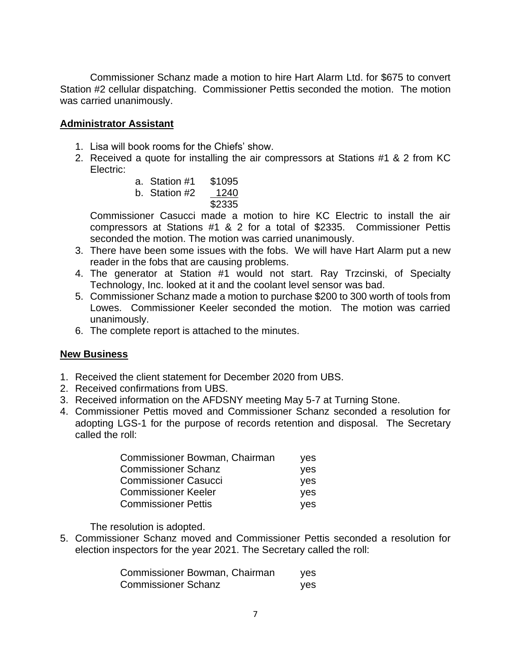Commissioner Schanz made a motion to hire Hart Alarm Ltd. for \$675 to convert Station #2 cellular dispatching. Commissioner Pettis seconded the motion. The motion was carried unanimously.

### **Administrator Assistant**

- 1. Lisa will book rooms for the Chiefs' show.
- 2. Received a quote for installing the air compressors at Stations #1 & 2 from KC Electric:
	- a. Station #1 \$1095
	- b. Station #2 1240 \$2335

Commissioner Casucci made a motion to hire KC Electric to install the air compressors at Stations #1 & 2 for a total of \$2335. Commissioner Pettis seconded the motion. The motion was carried unanimously.

- 3. There have been some issues with the fobs. We will have Hart Alarm put a new reader in the fobs that are causing problems.
- 4. The generator at Station #1 would not start. Ray Trzcinski, of Specialty Technology, Inc. looked at it and the coolant level sensor was bad.
- 5. Commissioner Schanz made a motion to purchase \$200 to 300 worth of tools from Lowes. Commissioner Keeler seconded the motion. The motion was carried unanimously.
- 6. The complete report is attached to the minutes.

# **New Business**

- 1. Received the client statement for December 2020 from UBS.
- 2. Received confirmations from UBS.
- 3. Received information on the AFDSNY meeting May 5-7 at Turning Stone.
- 4. Commissioner Pettis moved and Commissioner Schanz seconded a resolution for adopting LGS-1 for the purpose of records retention and disposal. The Secretary called the roll:

| Commissioner Bowman, Chairman | yes        |
|-------------------------------|------------|
| <b>Commissioner Schanz</b>    | <b>ves</b> |
| <b>Commissioner Casucci</b>   | <b>ves</b> |
| <b>Commissioner Keeler</b>    | <b>ves</b> |
| <b>Commissioner Pettis</b>    | yes        |

The resolution is adopted.

5. Commissioner Schanz moved and Commissioner Pettis seconded a resolution for election inspectors for the year 2021. The Secretary called the roll:

| Commissioner Bowman, Chairman | yes |
|-------------------------------|-----|
| <b>Commissioner Schanz</b>    | yes |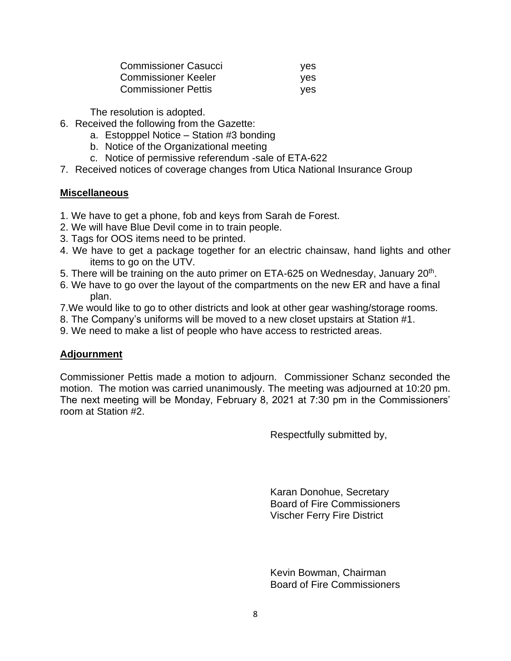| <b>Commissioner Casucci</b> | ves |
|-----------------------------|-----|
| <b>Commissioner Keeler</b>  | ves |
| <b>Commissioner Pettis</b>  | ves |

The resolution is adopted.

- 6. Received the following from the Gazette:
	- a. Estopppel Notice Station #3 bonding
	- b. Notice of the Organizational meeting
	- c. Notice of permissive referendum -sale of ETA-622
- 7. Received notices of coverage changes from Utica National Insurance Group

#### **Miscellaneous**

- 1. We have to get a phone, fob and keys from Sarah de Forest.
- 2. We will have Blue Devil come in to train people.
- 3. Tags for OOS items need to be printed.
- 4. We have to get a package together for an electric chainsaw, hand lights and other items to go on the UTV.
- 5. There will be training on the auto primer on ETA-625 on Wednesday, January 20<sup>th</sup>.
- 6. We have to go over the layout of the compartments on the new ER and have a final plan.
- 7.We would like to go to other districts and look at other gear washing/storage rooms.
- 8. The Company's uniforms will be moved to a new closet upstairs at Station #1.
- 9. We need to make a list of people who have access to restricted areas.

# **Adjournment**

Commissioner Pettis made a motion to adjourn. Commissioner Schanz seconded the motion. The motion was carried unanimously. The meeting was adjourned at 10:20 pm. The next meeting will be Monday, February 8, 2021 at 7:30 pm in the Commissioners' room at Station #2.

Respectfully submitted by,

Karan Donohue, Secretary Board of Fire Commissioners Vischer Ferry Fire District

Kevin Bowman, Chairman Board of Fire Commissioners